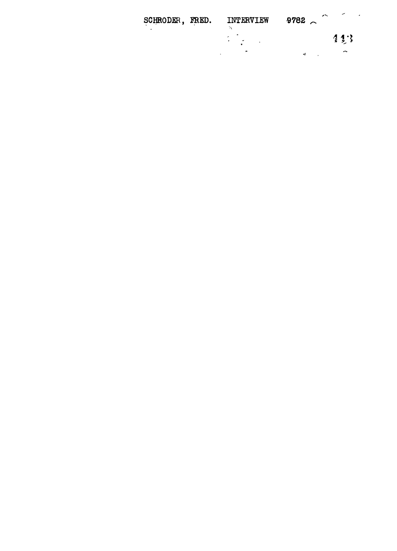| SCHRODER, FRED. | INTERVIEW               | ∼<br>$-9782$ |     |
|-----------------|-------------------------|--------------|-----|
|                 | $\lambda$<br>$\epsilon$ |              | 443 |
|                 | ×                       | $\bullet$    | en. |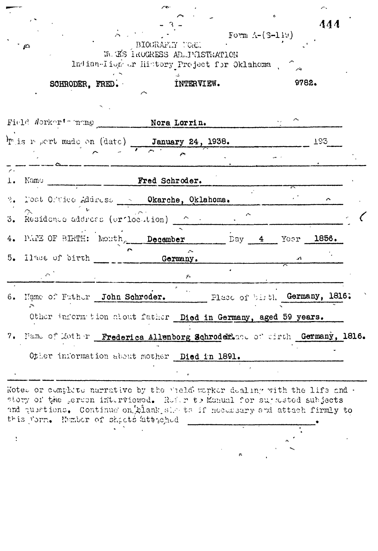|            |                                                                                                                                              |                                                                                                | Form $\Lambda$ - $(S-119)$    |                            | 444 |  |
|------------|----------------------------------------------------------------------------------------------------------------------------------------------|------------------------------------------------------------------------------------------------|-------------------------------|----------------------------|-----|--|
|            | $\mathcal{L}$                                                                                                                                | BIOGRAFIY TORE<br>W. KS ROCKESS AD  INISTRATION<br>Indian-Iion or History Project for Oklahoma |                               |                            |     |  |
|            | SCHRODER, FRED.                                                                                                                              | INTERVIEW.                                                                                     |                               | 9782.                      |     |  |
|            | Field Norker's name _________ Nora Lorrin.                                                                                                   |                                                                                                |                               |                            |     |  |
|            | $\mathbf{F}$ is report made on (date) January 24, 1938.                                                                                      |                                                                                                |                               |                            | 193 |  |
| $\epsilon$ | 1. Namo                                                                                                                                      | Fred Schroder.                                                                                 |                               |                            |     |  |
| 3.         | 2. Dost Oftice Address & Okarche, Oklahoma.<br>Residence address (or location) = 0 = 0                                                       |                                                                                                |                               |                            |     |  |
|            | 4. PARE OF BIRTH: Month December Day 4 Yoar 1856.                                                                                            |                                                                                                |                               |                            |     |  |
|            | 5. Ilace of birth                                                                                                                            | Germany.<br>$\mathcal{F}$                                                                      |                               | $\mathcal{L}_{\mathbf{t}}$ |     |  |
|            | 6. Name of Futher John Schroder.<br>∼                                                                                                        |                                                                                                | Place of birth Germany, 1816. |                            |     |  |
|            | Other inform tion about father Died in Germany, aged 59 years.<br>7. Name of Mother Frederica Allenborg Schroderence of sirth Germany, 1816. |                                                                                                |                               |                            |     |  |
|            | Other information about mother Died in 1891.                                                                                                 |                                                                                                |                               |                            |     |  |

A.

a or complete narrative by the vield worker dealing with the life and  $\cdot$ *vtory* of the .eruon interviewed. Rufer to Manual for sujects subjects d questions. Continue on. $\beta$ lank.sle troif nocessary and attach firmly to this form. Number of sheets 'attgehed ...

 $\ddot{\cdot}$ 

 $\sigma$ 

À,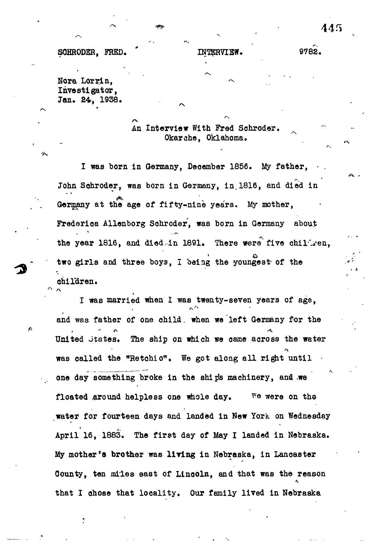## SOHRODER, FRED. (INITERVIEW. 9782.

Nora Lorrin. Investigator, Jan. 24, 1938.

**/v**

An Interview With Fred Schroder. Okarche, Oklahoma.

I was born in Germany, December 1856. My father, John Schroder, was born in Germany, in 1816, and died in Germany at the age of fifty-nine years. My mother, **Frederioa Allenborg Sohroder', was born in Germany about the year 1816, and died,In 1891. There were" five ohil'i'en, two girls and three boys, I being the youngest- of the children.**

**I was married when I was twenty-seven years of age,** and was father of one child. when we left Germany for the **United Jtates. The ship on which we came across the water was called the "Retohio". We got along all right until • one day something broke in the ship's machinery, and .we floated ,around helpless one whole day. \*'e were on the** water for fourteen days and landed in New York on Wednesday **April 16, 1883. The first day of May I landed in Nebraska. My mother's brother was Hying in Nebraska, in Lancaster Oounty, ten miles east of Linooln, and that was the reason that I chose that locality. Our family lived in Nebraska**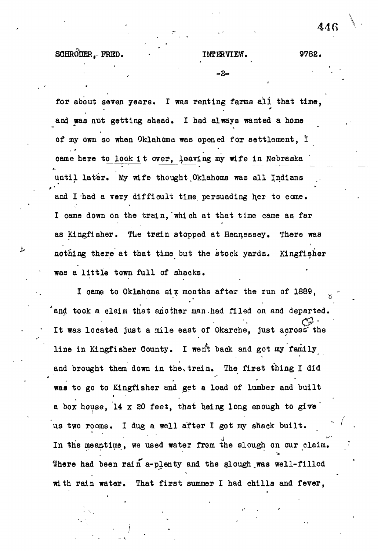SCHRODER FRED. TMTERVIEW. 9782.

**446**

**• . \* - 2- '**

for about seven years. I was renting farms all that time, and was not getting ahead. I had always wanted a home of my own so when Oklahoma was opened for settlement, I came here to look it over, leaving my wife in Nebraska until later. My wife thought Oklahoma was all Indians and I had a very difficult time persuading her to come. I came down on the train, which at that time came as far as Kingfisher. The train stopped at Hennessey. There was nothing there at that time but the stock yards. Kingfisher was a little town full of shaoks.

I came to Oklahoma six months after the run of  $1889$ , and took a claim that another man had filed on and departed. It was located just a mile east of Okarche, just across the line in Kingfisher County. I went back and got my family and brought them down in the train. The first thing I did **\* "'** > » • \* a box house, 14 x 20 feet, that being long enough to give us two rooms. I dug a well after I got my shack built. In the meantime, we used water from the slough on our claim. There had been rain a-plenty and the slough was well-filled with rain water. That first summer I had chills and fever,

with rain water. That first summer  $\mathcal{L}_\text{max}$  is the first summer  $\mathcal{L}_\text{max}$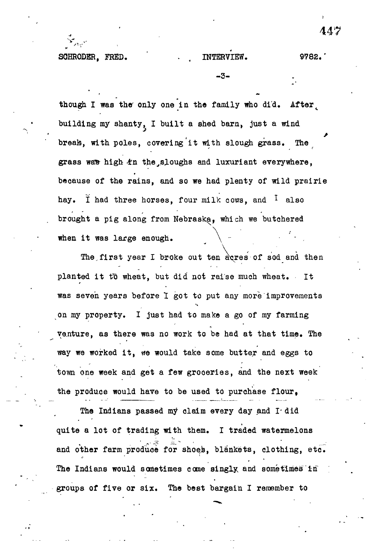-3-

though I was the only one in the family who did. After building my shanty, I built a shed barn, just a wind break, with poles, covering it with slough grass. The grass was high  $tn$  the sloughs and luxuriant everywhere, because of the rains, and so we had plenty of wild prairie hay. I had three horses, four milk cows, and  $\frac{1}{1}$  also brought a pig along from Nebraska, which we butchered when it was large enough.

The first year I broke out ten acres of sod and then planted it to wheat, but did not raise much wheat. It was seven years before 1 got to put any more improvements on my property. I just had to make a go of my farming venture, as there was no work to be had at that time. The way we worked it, ffe would take some butter and eggs to town one week and get a few groceries, and the next week the produce would have to be used to purchase flour.

The Indians passed my claim every day and I did quite a lot of trading with them. I traded watermelons and other farm produce for shoes, blankets, clothing, etc. The Indians would sometimes come singly and sometimes in groups of five or six. The best bargain I remember to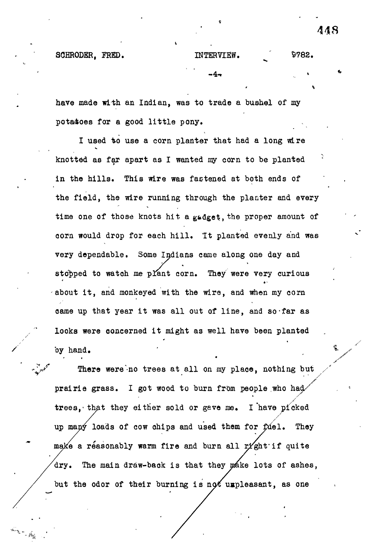\*

SCHRODER, FRED. INTERVIEW. \$782. -4-

have made with an Indian, was to trade a bushel of my potatoes for a good little pony.

I used to use a corn planter that had a long wire knotted as far apart as I wanted my corn to be planted in the hills. This wire was fastened at both ends of the field, the wire running through the planter and every time one of those knots hit a gadget, the proper amount of corn would drop for each hill. It planted evenly and was very dependable. Some Indians came along one day and stopped to watch me plant corn. They were very curious about it, and monkeyed with the wire, and when my corn came up that year it was all out of line, and so-far as looks were ooncerned it might as well have been planted by hand.

There were no trees at all on my place, nothing but prairie grass. I got wood to burn from people who had trees, that they either sold or gave me. I have picked up many loads of cow chips and used them for fuel. They make a reasonably warm fire and burn all right if quite dry. The main draw-back is that they make lots of ashes, but the odor of their burning is not uxpleasant, as one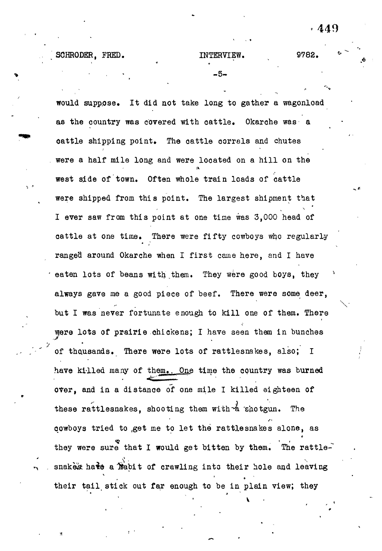- 5-

SCHRODER, FRED. INTERVIEW. 9782.

would supp.ose. It did not take long to gather a wagonload as the country was covered with cattle. Okarahe was a cattle shipping point. The cattle corrals and chutes were a half mile long and were located on a hill on the west side of town. Often whole train loads of cattle were shipped from this point. The largest shipment that I ever saw from this point at one time was 3,000 head of cattle at one time. There were fifty cowboys who regularly ranged around Okarche when I first came here, and I have eaten lots of beans with them. They were good boys, they always gave me a good piece of beef. There were some deer, but I was never fortunate enough to kill one of them. There were lots of prairie .chickens; I have seen them in bunches of thousands. There were lots of rattlesnakes, also; I have killed many of them.. One time the country was burned over, and in a distance of one mile I killed eighteen of these rattlesnakes, shooting them with  $\stackrel{\text{d}}{A}$  shotgun. The qowboys tried to ,get me to let the rattlesnakes alone, as i they were sure that I would get bitten by them. The rattlesnakes hate a habit of crawling into their hole and leaving their tail stick out far enough to be in plain view; they